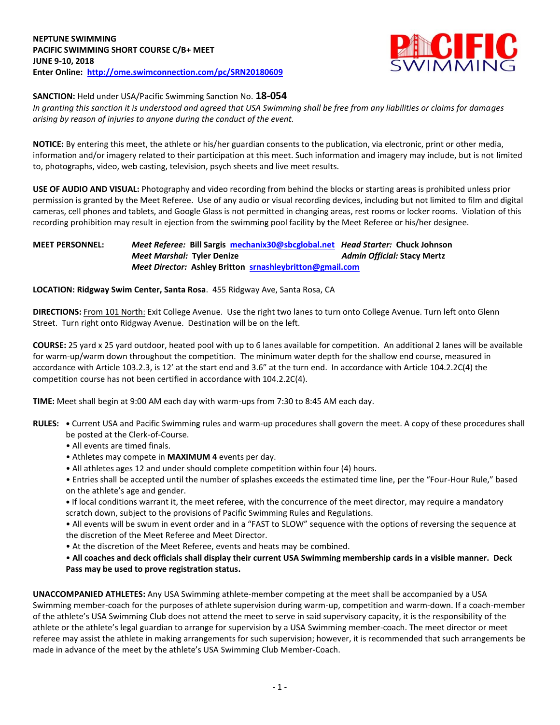

## **SANCTION:** Held under USA/Pacific Swimming Sanction No. **18-054**

*In granting this sanction it is understood and agreed that USA Swimming shall be free from any liabilities or claims for damages arising by reason of injuries to anyone during the conduct of the event.*

**NOTICE:** By entering this meet, the athlete or his/her guardian consents to the publication, via electronic, print or other media, information and/or imagery related to their participation at this meet. Such information and imagery may include, but is not limited to, photographs, video, web casting, television, psych sheets and live meet results.

**USE OF AUDIO AND VISUAL:** Photography and video recording from behind the blocks or starting areas is prohibited unless prior permission is granted by the Meet Referee. Use of any audio or visual recording devices, including but not limited to film and digital cameras, cell phones and tablets, and Google Glass is not permitted in changing areas, rest rooms or locker rooms. Violation of this recording prohibition may result in ejection from the swimming pool facility by the Meet Referee or his/her designee.

## **MEET PERSONNEL:** *Meet Referee:* **Bill Sargis [mechanix30@sbcglobal.net](mailto:mechanix30@sbcglobal.net)** *Head Starter:* **Chuck Johnson** *Meet Marshal:* **Tyler Denize** *Admin Official:* **Stacy Mertz** *Meet Director:* **Ashley Britton [srnashleybritton@gmail.com](mailto:srnashleybritton@gmail.com)**

## **LOCATION: Ridgway Swim Center, Santa Rosa**. 455 Ridgway Ave, Santa Rosa, CA

**DIRECTIONS:** From 101 North: Exit College Avenue. Use the right two lanes to turn onto College Avenue. Turn left onto Glenn Street. Turn right onto Ridgway Avenue. Destination will be on the left.

**COURSE:** 25 yard x 25 yard outdoor, heated pool with up to 6 lanes available for competition. An additional 2 lanes will be available for warm-up/warm down throughout the competition. The minimum water depth for the shallow end course, measured in accordance with Article 103.2.3, is 12' at the start end and 3.6" at the turn end. In accordance with Article 104.2.2C(4) the competition course has not been certified in accordance with 104.2.2C(4).

**TIME:** Meet shall begin at 9:00 AM each day with warm-ups from 7:30 to 8:45 AM each day.

- **RULES: •** Current USA and Pacific Swimming rules and warm-up procedures shall govern the meet. A copy of these procedures shall be posted at the Clerk-of-Course.
	- All events are timed finals.
	- Athletes may compete in **MAXIMUM 4** events per day.
	- All athletes ages 12 and under should complete competition within four (4) hours.

• Entries shall be accepted until the number of splashes exceeds the estimated time line, per the "Four-Hour Rule," based on the athlete's age and gender.

**•** If local conditions warrant it, the meet referee, with the concurrence of the meet director, may require a mandatory scratch down, subject to the provisions of Pacific Swimming Rules and Regulations.

• All events will be swum in event order and in a "FAST to SLOW" sequence with the options of reversing the sequence at the discretion of the Meet Referee and Meet Director.

• At the discretion of the Meet Referee, events and heats may be combined.

• **All coaches and deck officials shall display their current USA Swimming membership cards in a visible manner. Deck Pass may be used to prove registration status.**

**UNACCOMPANIED ATHLETES:** Any USA Swimming athlete-member competing at the meet shall be accompanied by a USA Swimming member-coach for the purposes of athlete supervision during warm-up, competition and warm-down. If a coach-member of the athlete's USA Swimming Club does not attend the meet to serve in said supervisory capacity, it is the responsibility of the athlete or the athlete's legal guardian to arrange for supervision by a USA Swimming member-coach. The meet director or meet referee may assist the athlete in making arrangements for such supervision; however, it is recommended that such arrangements be made in advance of the meet by the athlete's USA Swimming Club Member-Coach.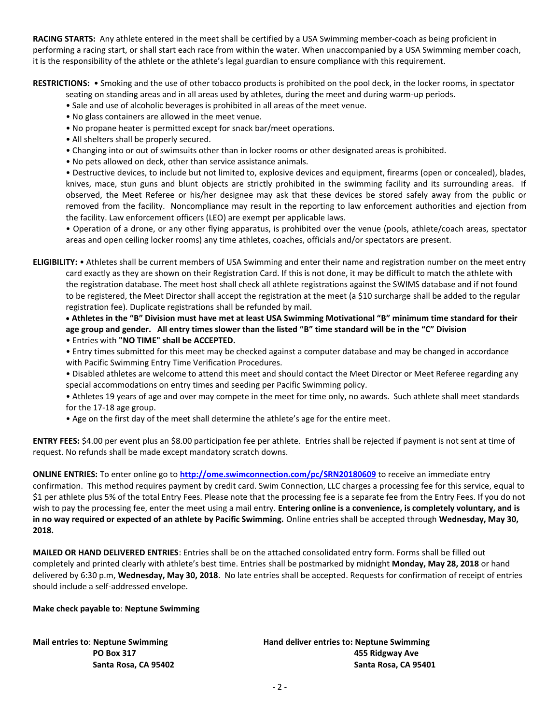**RACING STARTS:** Any athlete entered in the meet shall be certified by a USA Swimming member-coach as being proficient in performing a racing start, or shall start each race from within the water. When unaccompanied by a USA Swimming member coach, it is the responsibility of the athlete or the athlete's legal guardian to ensure compliance with this requirement.

**RESTRICTIONS:** • Smoking and the use of other tobacco products is prohibited on the pool deck, in the locker rooms, in spectator

seating on standing areas and in all areas used by athletes, during the meet and during warm-up periods.

- Sale and use of alcoholic beverages is prohibited in all areas of the meet venue.
- No glass containers are allowed in the meet venue.
- No propane heater is permitted except for snack bar/meet operations.
- All shelters shall be properly secured.
- Changing into or out of swimsuits other than in locker rooms or other designated areas is prohibited.
- No pets allowed on deck, other than service assistance animals.

• Destructive devices, to include but not limited to, explosive devices and equipment, firearms (open or concealed), blades, knives, mace, stun guns and blunt objects are strictly prohibited in the swimming facility and its surrounding areas. If observed, the Meet Referee or his/her designee may ask that these devices be stored safely away from the public or removed from the facility. Noncompliance may result in the reporting to law enforcement authorities and ejection from the facility. Law enforcement officers (LEO) are exempt per applicable laws.

• Operation of a drone, or any other flying apparatus, is prohibited over the venue (pools, athlete/coach areas, spectator areas and open ceiling locker rooms) any time athletes, coaches, officials and/or spectators are present.

**ELIGIBILITY:** • Athletes shall be current members of USA Swimming and enter their name and registration number on the meet entry card exactly as they are shown on their Registration Card. If this is not done, it may be difficult to match the athlete with the registration database. The meet host shall check all athlete registrations against the SWIMS database and if not found to be registered, the Meet Director shall accept the registration at the meet (a \$10 surcharge shall be added to the regular registration fee). Duplicate registrations shall be refunded by mail.

 **Athletes in the "B" Division must have met at least USA Swimming Motivational "B" minimum time standard for their age group and gender. All entry times slower than the listed "B" time standard will be in the "C" Division** • Entries with **"NO TIME" shall be ACCEPTED.**

- Entry times submitted for this meet may be checked against a computer database and may be changed in accordance with Pacific Swimming Entry Time Verification Procedures.
- Disabled athletes are welcome to attend this meet and should contact the Meet Director or Meet Referee regarding any special accommodations on entry times and seeding per Pacific Swimming policy.
- Athletes 19 years of age and over may compete in the meet for time only, no awards. Such athlete shall meet standards for the 17-18 age group.
- Age on the first day of the meet shall determine the athlete's age for the entire meet.

**ENTRY FEES:** \$4.00 per event plus an \$8.00 participation fee per athlete. Entries shall be rejected if payment is not sent at time of request. No refunds shall be made except mandatory scratch downs.

**ONLINE ENTRIES:** To enter online go to **<http://ome.swimconnection.com/pc/SRN20180609>** to receive an immediate entry confirmation. This method requires payment by credit card. Swim Connection, LLC charges a processing fee for this service, equal to \$1 per athlete plus 5% of the total Entry Fees. Please note that the processing fee is a separate fee from the Entry Fees. If you do not wish to pay the processing fee, enter the meet using a mail entry. **Entering online is a convenience, is completely voluntary, and is in no way required or expected of an athlete by Pacific Swimming.** Online entries shall be accepted through **Wednesday, May 30, 2018.**

**MAILED OR HAND DELIVERED ENTRIES**: Entries shall be on the attached consolidated entry form. Forms shall be filled out completely and printed clearly with athlete's best time. Entries shall be postmarked by midnight **Monday, May 28, 2018** or hand delivered by 6:30 p.m, **Wednesday, May 30, 2018**. No late entries shall be accepted. Requests for confirmation of receipt of entries should include a self-addressed envelope.

**Make check payable to**: **Neptune Swimming**

**Mail entries to**: **Neptune Swimming Hand deliver entries to: Neptune Swimming PO Box 317 455 Ridgway Ave Santa Rosa, CA 95402 Santa Rosa, CA 95401**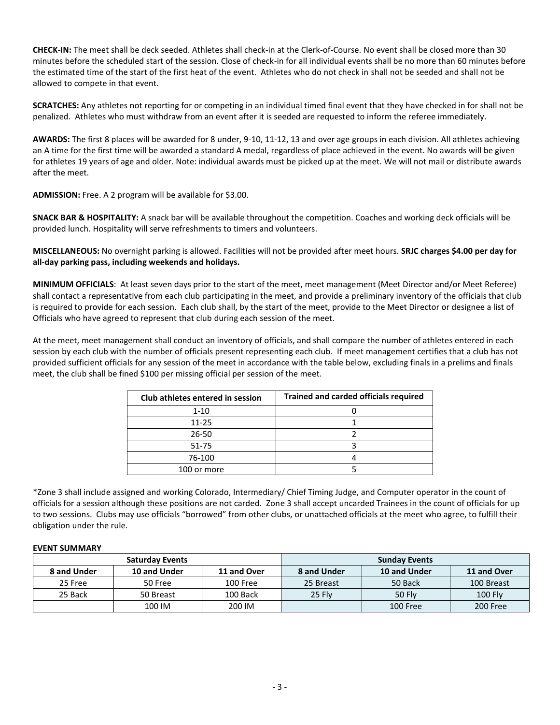**CHECK-IN:** The meet shall be deck seeded. Athletes shall check-in at the Clerk-of-Course. No event shall be closed more than 30 minutes before the scheduled start of the session. Close of check-in for all individual events shall be no more than 60 minutes before the estimated time of the start of the first heat of the event. Athletes who do not check in shall not be seeded and shall not be allowed to compete in that event.

**SCRATCHES:** Any athletes not reporting for or competing in an individual timed final event that they have checked in for shall not be penalized. Athletes who must withdraw from an event after it is seeded are requested to inform the referee immediately.

**AWARDS:** The first 8 places will be awarded for 8 under, 9-10, 11-12, 13 and over age groups in each division. All athletes achieving an A time for the first time will be awarded a standard A medal, regardless of place achieved in the event. No awards will be given for athletes 19 years of age and older. Note: individual awards must be picked up at the meet. We will not mail or distribute awards after the meet.

**ADMISSION:** Free. A 2 program will be available for \$3.00.

**SNACK BAR & HOSPITALITY:** A snack bar will be available throughout the competition. Coaches and working deck officials will be provided lunch. Hospitality will serve refreshments to timers and volunteers.

**MISCELLANEOUS:** No overnight parking is allowed. Facilities will not be provided after meet hours. **SRJC charges \$4.00 per day for all-day parking pass, including weekends and holidays.**

**MINIMUM OFFICIALS**: At least seven days prior to the start of the meet, meet management (Meet Director and/or Meet Referee) shall contact a representative from each club participating in the meet, and provide a preliminary inventory of the officials that club is required to provide for each session. Each club shall, by the start of the meet, provide to the Meet Director or designee a list of Officials who have agreed to represent that club during each session of the meet.

At the meet, meet management shall conduct an inventory of officials, and shall compare the number of athletes entered in each session by each club with the number of officials present representing each club. If meet management certifies that a club has not provided sufficient officials for any session of the meet in accordance with the table below, excluding finals in a prelims and finals meet, the club shall be fined \$100 per missing official per session of the meet.

| Club athletes entered in session | <b>Trained and carded officials required</b> |
|----------------------------------|----------------------------------------------|
| $1 - 10$                         |                                              |
| $11 - 25$                        |                                              |
| 26-50                            |                                              |
| 51-75                            |                                              |
| 76-100                           |                                              |
| 100 or more                      |                                              |

\*Zone 3 shall include assigned and working Colorado, Intermediary/ Chief Timing Judge, and Computer operator in the count of officials for a session although these positions are not carded. Zone 3 shall accept uncarded Trainees in the count of officials for up to two sessions. Clubs may use officials "borrowed" from other clubs, or unattached officials at the meet who agree, to fulfill their obligation under the rule.

## **EVENT SUMMARY**

|             | <b>Saturday Events</b> |             | <b>Sunday Events</b> |               |             |  |  |
|-------------|------------------------|-------------|----------------------|---------------|-------------|--|--|
| 8 and Under | 10 and Under           | 11 and Over | 8 and Under          | 10 and Under  | 11 and Over |  |  |
| 25 Free     | 50 Free                | 100 Free    | 25 Breast            | 50 Back       | 100 Breast  |  |  |
| 25 Back     | 50 Breast              | 100 Back    | 25 Flv               | <b>50 Fly</b> | $100$ Fly   |  |  |
|             | 100 IM                 | 200 IM      |                      | 100 Free      | 200 Free    |  |  |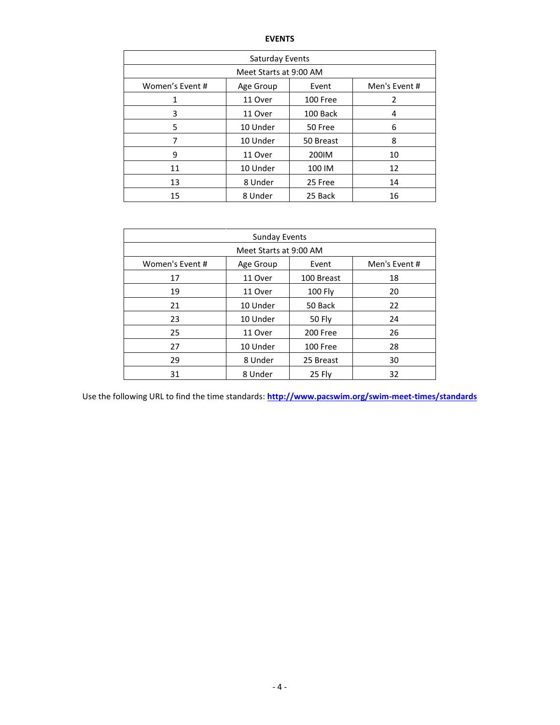| Saturday Events        |           |          |               |  |  |  |  |  |  |
|------------------------|-----------|----------|---------------|--|--|--|--|--|--|
| Meet Starts at 9:00 AM |           |          |               |  |  |  |  |  |  |
| Women's Event #        | Age Group | Event    | Men's Event # |  |  |  |  |  |  |
| 1                      | 11 Over   | 100 Free | 2             |  |  |  |  |  |  |
| 3                      | 11 Over   | 100 Back | 4             |  |  |  |  |  |  |
| 5                      | 10 Under  | 50 Free  | 6             |  |  |  |  |  |  |
| 7                      | 10 Under  | 8        |               |  |  |  |  |  |  |
| 9                      | 11 Over   | 200IM    | 10            |  |  |  |  |  |  |
| 11                     | 10 Under  |          | 12            |  |  |  |  |  |  |
| 13                     | 8 Under   | 25 Free  | 14            |  |  |  |  |  |  |
| 15                     | 8 Under   | 25 Back  | 16            |  |  |  |  |  |  |

| <b>Sunday Events</b>   |           |            |               |  |  |  |  |  |  |
|------------------------|-----------|------------|---------------|--|--|--|--|--|--|
| Meet Starts at 9:00 AM |           |            |               |  |  |  |  |  |  |
| Women's Event #        | Age Group | Event      | Men's Event # |  |  |  |  |  |  |
| 17                     | 11 Over   | 100 Breast | 18            |  |  |  |  |  |  |
| 19                     | 11 Over   | 100 Fly    | 20            |  |  |  |  |  |  |
| 21                     | 10 Under  | 22         |               |  |  |  |  |  |  |
| 23                     | 10 Under  | 50 Fly     | 24            |  |  |  |  |  |  |
| 25                     | 11 Over   | 200 Free   | 26            |  |  |  |  |  |  |
| 27                     | 10 Under  | 100 Free   | 28            |  |  |  |  |  |  |
| 29                     | 8 Under   | 25 Breast  | 30            |  |  |  |  |  |  |
| 31                     | 8 Under   | 25 Fly     | 32            |  |  |  |  |  |  |

Use the following URL to find the time standards: **<http://www.pacswim.org/swim-meet-times/standards>**